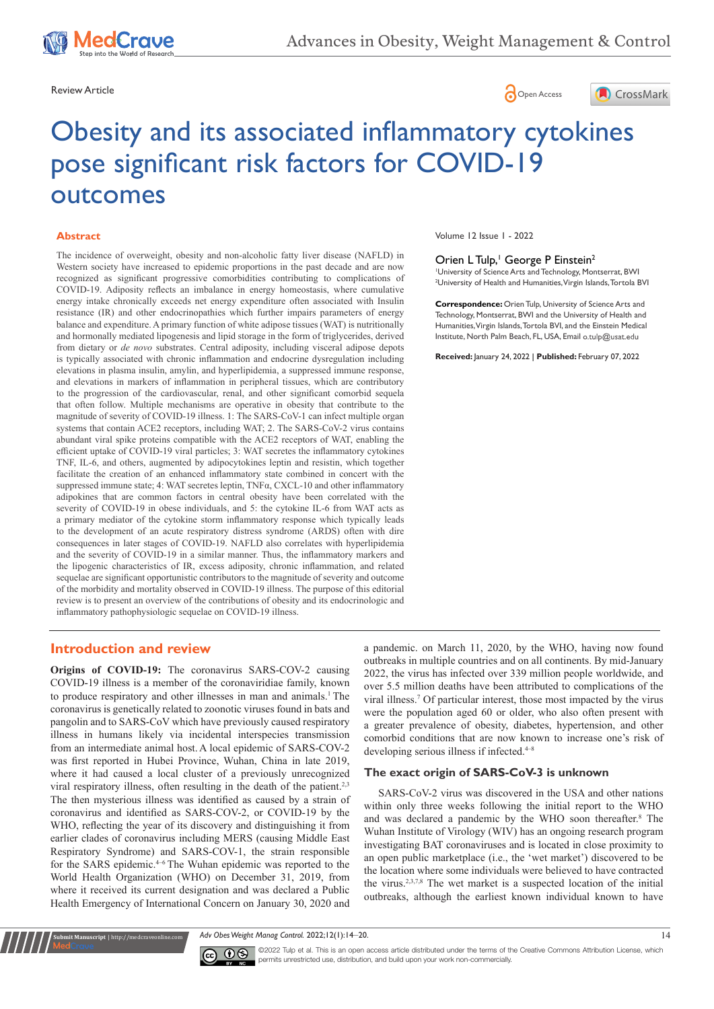





# Obesity and its associated inflammatory cytokines pose significant risk factors for COVID-19 outcomes

#### **Abstract**

The incidence of overweight, obesity and non-alcoholic fatty liver disease (NAFLD) in Western society have increased to epidemic proportions in the past decade and are now recognized as significant progressive comorbidities contributing to complications of COVID-19. Adiposity reflects an imbalance in energy homeostasis, where cumulative energy intake chronically exceeds net energy expenditure often associated with Insulin resistance (IR) and other endocrinopathies which further impairs parameters of energy balance and expenditure. A primary function of white adipose tissues (WAT) is nutritionally and hormonally mediated lipogenesis and lipid storage in the form of triglycerides, derived from dietary or *de novo* substrates. Central adiposity, including visceral adipose depots is typically associated with chronic inflammation and endocrine dysregulation including elevations in plasma insulin, amylin, and hyperlipidemia, a suppressed immune response, and elevations in markers of inflammation in peripheral tissues, which are contributory to the progression of the cardiovascular, renal, and other significant comorbid sequela that often follow. Multiple mechanisms are operative in obesity that contribute to the magnitude of severity of COVID-19 illness. 1: The SARS-CoV-1 can infect multiple organ systems that contain ACE2 receptors, including WAT; 2. The SARS-CoV-2 virus contains abundant viral spike proteins compatible with the ACE2 receptors of WAT, enabling the efficient uptake of COVID-19 viral particles; 3: WAT secretes the inflammatory cytokines TNF, IL-6, and others, augmented by adipocytokines leptin and resistin, which together facilitate the creation of an enhanced inflammatory state combined in concert with the suppressed immune state; 4: WAT secretes leptin, TNFα, CXCL-10 and other inflammatory adipokines that are common factors in central obesity have been correlated with the severity of COVID-19 in obese individuals, and 5: the cytokine IL-6 from WAT acts as a primary mediator of the cytokine storm inflammatory response which typically leads to the development of an acute respiratory distress syndrome (ARDS) often with dire consequences in later stages of COVID-19. NAFLD also correlates with hyperlipidemia and the severity of COVID-19 in a similar manner. Thus, the inflammatory markers and the lipogenic characteristics of IR, excess adiposity, chronic inflammation, and related sequelae are significant opportunistic contributors to the magnitude of severity and outcome of the morbidity and mortality observed in COVID-19 illness. The purpose of this editorial review is to present an overview of the contributions of obesity and its endocrinologic and inflammatory pathophysiologic sequelae on COVID-19 illness.

Volume 12 Issue 1 - 2022

#### Orien L Tulp,<sup>1</sup> George P Einstein<sup>2</sup>

1 University of Science Arts and Technology, Montserrat, BWI 2 University of Health and Humanities, Virgin Islands, Tortola BVI

**Correspondence:** Orien Tulp, University of Science Arts and Technology, Montserrat, BWI and the University of Health and Humanities, Virgin Islands, Tortola BVI, and the Einstein Medical Institute, North Palm Beach, FL, USA, Email o.tulp@usat.edu

**Received:** January 24, 2022 | **Published:** February 07, 2022

# **Introduction and review**

**it Manuscript** | http://medcraveonline.c

**Origins of COVID-19:** The coronavirus SARS-COV-2 causing COVID-19 illness is a member of the coronaviridiae family, known to produce respiratory and other illnesses in man and animals.<sup>1</sup> The coronavirus is genetically related to zoonotic viruses found in bats and pangolin and to SARS-CoV which have previously caused respiratory illness in humans likely via incidental interspecies transmission from an intermediate animal host.A local epidemic of SARS-COV-2 was first reported in Hubei Province, Wuhan, China in late 2019, where it had caused a local cluster of a previously unrecognized viral respiratory illness, often resulting in the death of the patient.<sup>2,3</sup> The then mysterious illness was identified as caused by a strain of coronavirus and identified as SARS-COV-2, or COVID-19 by the WHO, reflecting the year of its discovery and distinguishing it from earlier clades of coronavirus including MERS (causing Middle East Respiratory Syndrome) and SARS-COV-1, the strain responsible for the SARS epidemic.<sup>4-6</sup> The Wuhan epidemic was reported to the World Health Organization (WHO) on December 31, 2019, from where it received its current designation and was declared a [Public](https://en.wikipedia.org/wiki/Public_Health_Emergency_of_International_Concern)  [Health Emergency of International Concern](https://en.wikipedia.org/wiki/Public_Health_Emergency_of_International_Concern) on January 30, 2020 and

a pandemic. on March 11, 2020, by the WHO, having now found outbreaks in multiple countries and on all continents. By mid-January 2022, the virus has infected over 339 million people worldwide, and over 5.5 million deaths have been attributed to complications of the viral illness.7 Of particular interest, those most impacted by the virus were the population aged 60 or older, who also often present with a greater prevalence of obesity, diabetes, hypertension, and other comorbid conditions that are now known to increase one's risk of developing serious illness if infected.<sup>4-8</sup>

#### **The exact origin of SARS-CoV-3 is unknown**

SARS-CoV-2 virus was discovered in the USA and other nations within only three weeks following the initial report to the WHO and was declared a pandemic by the WHO soon thereafter.<sup>8</sup> The Wuhan Institute of Virology (WIV) has an ongoing research program investigating BAT coronaviruses and is located in close proximity to an open public marketplace (i.e., the 'wet market') discovered to be the location where some individuals were believed to have contracted the virus.2,3,7,8 The wet market is a suspected location of the initial outbreaks, although the earliest known individual known to have

*Adv Obes Weight Manag Control.* 2022;12(1):14‒20. 14



©2022 Tulp et al. This is an open access article distributed under the terms of the [Creative Commons Attribution License](https://creativecommons.org/licenses/by-nc/4.0/), which permits unrestricted use, distribution, and build upon your work non-commercially.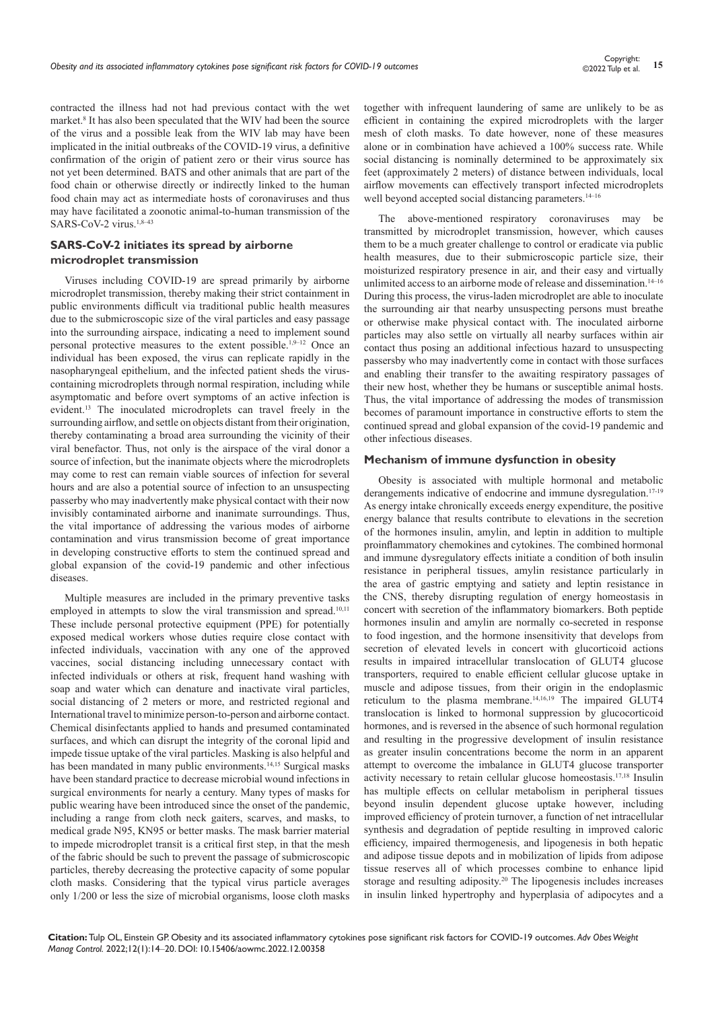contracted the illness had not had previous contact with the wet market.8 It has also been speculated that the WIV had been the source of the virus and a possible leak from the WIV lab may have been implicated in the initial outbreaks of the COVID-19 virus, a definitive confirmation of the origin of patient zero or their virus source has not yet been determined. BATS and other animals that are part of the food chain or otherwise directly or indirectly linked to the human food chain may act as intermediate hosts of coronaviruses and thus may have facilitated a zoonotic animal-to-human transmission of the SARS-CoV-2 virus.<sup>1,8-43</sup>

# **SARS-CoV-2 initiates its spread by airborne microdroplet transmission**

Viruses including COVID-19 are spread primarily by airborne microdroplet transmission, thereby making their strict containment in public environments difficult via traditional public health measures due to the submicroscopic size of the viral particles and easy passage into the surrounding airspace, indicating a need to implement sound personal protective measures to the extent possible.<sup>1,9-12</sup> Once an individual has been exposed, the virus can replicate rapidly in the nasopharyngeal epithelium, and the infected patient sheds the viruscontaining microdroplets through normal respiration, including while asymptomatic and before overt symptoms of an active infection is evident.13 The inoculated microdroplets can travel freely in the surrounding airflow, and settle on objects distant from their origination, thereby contaminating a broad area surrounding the vicinity of their viral benefactor. Thus, not only is the airspace of the viral donor a source of infection, but the inanimate objects where the microdroplets may come to rest can remain viable sources of infection for several hours and are also a potential source of infection to an unsuspecting passerby who may inadvertently make physical contact with their now invisibly contaminated airborne and inanimate surroundings. Thus, the vital importance of addressing the various modes of airborne contamination and virus transmission become of great importance in developing constructive efforts to stem the continued spread and global expansion of the covid-19 pandemic and other infectious diseases.

Multiple measures are included in the primary preventive tasks employed in attempts to slow the viral transmission and spread.<sup>10,11</sup> These include personal protective equipment (PPE) for potentially exposed medical workers whose duties require close contact with infected individuals, vaccination with any one of the approved vaccines, social distancing including unnecessary contact with infected individuals or others at risk, frequent hand washing with soap and water which can denature and inactivate viral particles, social distancing of 2 meters or more, and restricted regional and International travel to minimize person-to-person and airborne contact. Chemical disinfectants applied to hands and presumed contaminated surfaces, and which can disrupt the integrity of the coronal lipid and impede tissue uptake of the viral particles. Masking is also helpful and has been mandated in many public environments.<sup>14,15</sup> Surgical masks have been standard practice to decrease microbial wound infections in surgical environments for nearly a century. Many types of masks for public wearing have been introduced since the onset of the pandemic, including a range from cloth neck gaiters, scarves, and masks, to medical grade N95, KN95 or better masks. The mask barrier material to impede microdroplet transit is a critical first step, in that the mesh of the fabric should be such to prevent the passage of submicroscopic particles, thereby decreasing the protective capacity of some popular cloth masks. Considering that the typical virus particle averages only 1/200 or less the size of microbial organisms, loose cloth masks

together with infrequent laundering of same are unlikely to be as efficient in containing the expired microdroplets with the larger mesh of cloth masks. To date however, none of these measures alone or in combination have achieved a 100% success rate. While social distancing is nominally determined to be approximately six feet (approximately 2 meters) of distance between individuals, local airflow movements can effectively transport infected microdroplets well beyond accepted social distancing parameters.<sup>14–16</sup>

The above-mentioned respiratory coronaviruses may be transmitted by microdroplet transmission, however, which causes them to be a much greater challenge to control or eradicate via public health measures, due to their submicroscopic particle size, their moisturized respiratory presence in air, and their easy and virtually unlimited access to an airborne mode of release and dissemination.<sup>14–16</sup> During this process, the virus-laden microdroplet are able to inoculate the surrounding air that nearby unsuspecting persons must breathe or otherwise make physical contact with. The inoculated airborne particles may also settle on virtually all nearby surfaces within air contact thus posing an additional infectious hazard to unsuspecting passersby who may inadvertently come in contact with those surfaces and enabling their transfer to the awaiting respiratory passages of their new host, whether they be humans or susceptible animal hosts. Thus, the vital importance of addressing the modes of transmission becomes of paramount importance in constructive efforts to stem the continued spread and global expansion of the covid-19 pandemic and other infectious diseases.

#### **Mechanism of immune dysfunction in obesity**

Obesity is associated with multiple hormonal and metabolic derangements indicative of endocrine and immune dysregulation.<sup>17-19</sup> As energy intake chronically exceeds energy expenditure, the positive energy balance that results contribute to elevations in the secretion of the hormones insulin, amylin, and leptin in addition to multiple proinflammatory chemokines and cytokines. The combined hormonal and immune dysregulatory effects initiate a condition of both insulin resistance in peripheral tissues, amylin resistance particularly in the area of gastric emptying and satiety and leptin resistance in the CNS, thereby disrupting regulation of energy homeostasis in concert with secretion of the inflammatory biomarkers. Both peptide hormones insulin and amylin are normally co-secreted in response to food ingestion, and the hormone insensitivity that develops from secretion of elevated levels in concert with glucorticoid actions results in impaired intracellular translocation of GLUT4 glucose transporters, required to enable efficient cellular glucose uptake in muscle and adipose tissues, from their origin in the endoplasmic reticulum to the plasma membrane.14,16,19 The impaired GLUT4 translocation is linked to hormonal suppression by glucocorticoid hormones, and is reversed in the absence of such hormonal regulation and resulting in the progressive development of insulin resistance as greater insulin concentrations become the norm in an apparent attempt to overcome the imbalance in GLUT4 glucose transporter activity necessary to retain cellular glucose homeostasis.17,18 Insulin has multiple effects on cellular metabolism in peripheral tissues beyond insulin dependent glucose uptake however, including improved efficiency of protein turnover, a function of net intracellular synthesis and degradation of peptide resulting in improved caloric efficiency, impaired thermogenesis, and lipogenesis in both hepatic and adipose tissue depots and in mobilization of lipids from adipose tissue reserves all of which processes combine to enhance lipid storage and resulting adiposity.<sup>20</sup> The lipogenesis includes increases in insulin linked hypertrophy and hyperplasia of adipocytes and a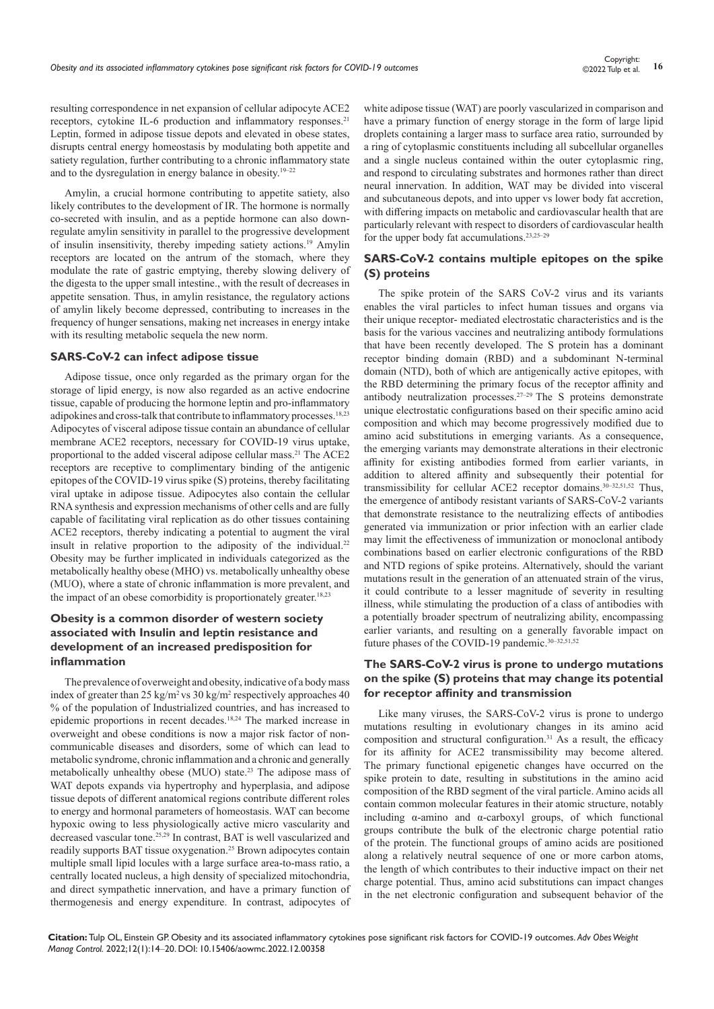resulting correspondence in net expansion of cellular adipocyte ACE2 receptors, cytokine IL-6 production and inflammatory responses.<sup>21</sup> Leptin, formed in adipose tissue depots and elevated in obese states, disrupts central energy homeostasis by modulating both appetite and satiety regulation, further contributing to a chronic inflammatory state and to the dysregulation in energy balance in obesity.19–22

Amylin, a crucial hormone contributing to appetite satiety, also likely contributes to the development of IR. The hormone is normally co-secreted with insulin, and as a peptide hormone can also downregulate amylin sensitivity in parallel to the progressive development of insulin insensitivity, thereby impeding satiety actions.19 Amylin receptors are located on the antrum of the stomach, where they modulate the rate of gastric emptying, thereby slowing delivery of the digesta to the upper small intestine., with the result of decreases in appetite sensation. Thus, in amylin resistance, the regulatory actions of amylin likely become depressed, contributing to increases in the frequency of hunger sensations, making net increases in energy intake with its resulting metabolic sequela the new norm.

#### **SARS-CoV-2 can infect adipose tissue**

Adipose tissue, once only regarded as the primary organ for the storage of lipid energy, is now also regarded as an active endocrine tissue, capable of producing the hormone leptin and pro-inflammatory adipokines and cross-talk that contribute to inflammatory processes.18,23 Adipocytes of visceral adipose tissue contain an abundance of cellular membrane ACE2 receptors, necessary for COVID-19 virus uptake, proportional to the added visceral adipose cellular mass.21 The ACE2 receptors are receptive to complimentary binding of the antigenic epitopes of the COVID-19 virus spike (S) proteins, thereby facilitating viral uptake in adipose tissue. Adipocytes also contain the cellular RNA synthesis and expression mechanisms of other cells and are fully capable of facilitating viral replication as do other tissues containing ACE2 receptors, thereby indicating a potential to augment the viral insult in relative proportion to the adiposity of the individual.<sup>22</sup> Obesity may be further implicated in individuals categorized as the metabolically healthy obese (MHO) vs. metabolically unhealthy obese (MUO), where a state of chronic inflammation is more prevalent, and the impact of an obese comorbidity is proportionately greater.<sup>18,23</sup>

# **Obesity is a common disorder of western society associated with Insulin and leptin resistance and development of an increased predisposition for inflammation**

The prevalence of overweight and obesity, indicative of a body mass index of greater than  $25 \text{ kg/m}^2 \text{ vs } 30 \text{ kg/m}^2$  respectively approaches 40 % of the population of Industrialized countries, and has increased to epidemic proportions in recent decades.18,24 The marked increase in overweight and obese conditions is now a major risk factor of noncommunicable diseases and disorders, some of which can lead to metabolic syndrome, chronic inflammation and a chronic and generally metabolically unhealthy obese (MUO) state.23 The adipose mass of WAT depots expands via hypertrophy and hyperplasia, and adipose tissue depots of different anatomical regions contribute different roles to energy and hormonal parameters of homeostasis. WAT can become hypoxic owing to less physiologically active micro vascularity and decreased vascular tone.25,29 In contrast, BAT is well vascularized and readily supports BAT tissue oxygenation.<sup>25</sup> Brown adipocytes contain multiple small lipid locules with a large surface area-to-mass ratio, a centrally located nucleus, a high density of specialized mitochondria, and direct sympathetic innervation, and have a primary function of thermogenesis and energy expenditure. In contrast, adipocytes of

white adipose tissue (WAT) are poorly vascularized in comparison and have a primary function of energy storage in the form of large lipid droplets containing a larger mass to surface area ratio, surrounded by a ring of cytoplasmic constituents including all subcellular organelles and a single nucleus contained within the outer cytoplasmic ring, and respond to circulating substrates and hormones rather than direct neural innervation. In addition, WAT may be divided into visceral and subcutaneous depots, and into upper vs lower body fat accretion, with differing impacts on metabolic and cardiovascular health that are particularly relevant with respect to disorders of cardiovascular health for the upper body fat accumulations.23,25–29

## **SARS-CoV-2 contains multiple epitopes on the spike (S) proteins**

The spike protein of the SARS CoV-2 virus and its variants enables the viral particles to infect human tissues and organs via their unique receptor- mediated electrostatic characteristics and is the basis for the various vaccines and neutralizing antibody formulations that have been recently developed. The S protein has a dominant receptor binding domain (RBD) and a subdominant N-terminal domain (NTD), both of which are antigenically active epitopes, with the RBD determining the primary focus of the receptor affinity and antibody neutralization processes.27–29 The S proteins demonstrate unique electrostatic configurations based on their specific amino acid composition and which may become progressively modified due to amino acid substitutions in emerging variants. As a consequence, the emerging variants may demonstrate alterations in their electronic affinity for existing antibodies formed from earlier variants, in addition to altered affinity and subsequently their potential for transmissibility for cellular ACE2 receptor domains.<sup>30–32,51,52</sup> Thus, the emergence of antibody resistant variants of SARS-CoV-2 variants that demonstrate resistance to the neutralizing effects of antibodies generated via immunization or prior infection with an earlier clade may limit the effectiveness of immunization or monoclonal antibody combinations based on earlier electronic configurations of the RBD and NTD regions of spike proteins. Alternatively, should the variant mutations result in the generation of an attenuated strain of the virus, it could contribute to a lesser magnitude of severity in resulting illness, while stimulating the production of a class of antibodies with a potentially broader spectrum of neutralizing ability, encompassing earlier variants, and resulting on a generally favorable impact on future phases of the COVID-19 pandemic.<sup>30-32,51,52</sup>

## **The SARS-CoV-2 virus is prone to undergo mutations on the spike (S) proteins that may change its potential for receptor affinity and transmission**

Like many viruses, the SARS-CoV-2 virus is prone to undergo mutations resulting in evolutionary changes in its amino acid composition and structural configuration.<sup>31</sup> As a result, the efficacy for its affinity for ACE2 transmissibility may become altered. The primary functional epigenetic changes have occurred on the spike protein to date, resulting in substitutions in the amino acid composition of the RBD segment of the viral particle. Amino acids all contain common molecular features in their atomic structure, notably including α-amino and α-carboxyl groups, of which functional groups contribute the bulk of the electronic charge potential ratio of the protein. The functional groups of amino acids are positioned along a relatively neutral sequence of one or more carbon atoms, the length of which contributes to their inductive impact on their net charge potential. Thus, amino acid substitutions can impact changes in the net electronic configuration and subsequent behavior of the

**Citation:** Tulp OL, Einstein GP. Obesity and its associated inflammatory cytokines pose significant risk factors for COVID-19 outcomes. *Adv Obes Weight Manag Control.* 2022;12(1):14‒20. DOI: [10.15406/aowmc.2022.12.00358](https://doi.org/10.15406/aowmc.2022.12.00358)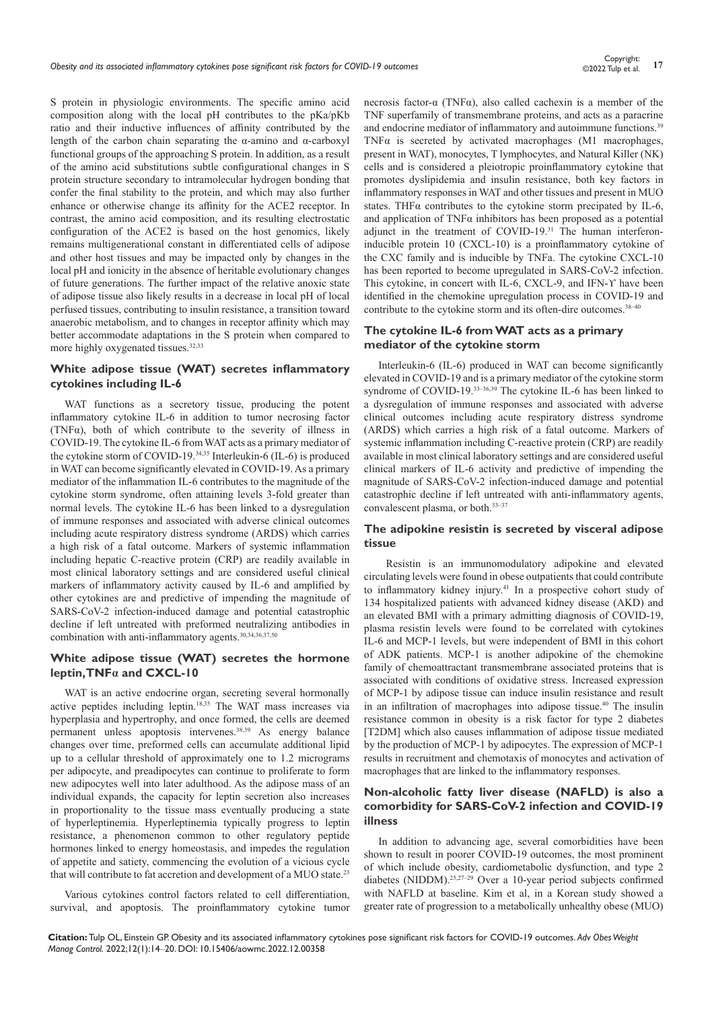S protein in physiologic environments. The specific amino acid composition along with the local pH contributes to the pKa/pKb ratio and their inductive influences of affinity contributed by the length of the carbon chain separating the  $\alpha$ -amino and  $\alpha$ -carboxyl functional groups of the approaching S protein. In addition, as a result of the amino acid substitutions subtle configurational changes in S protein structure secondary to intramolecular hydrogen bonding that confer the final stability to the protein, and which may also further enhance or otherwise change its affinity for the ACE2 receptor. In contrast, the amino acid composition, and its resulting electrostatic configuration of the ACE2 is based on the host genomics, likely remains multigenerational constant in differentiated cells of adipose and other host tissues and may be impacted only by changes in the local pH and ionicity in the absence of heritable evolutionary changes of future generations. The further impact of the relative anoxic state of adipose tissue also likely results in a decrease in local pH of local perfused tissues, contributing to insulin resistance, a transition toward anaerobic metabolism, and to changes in receptor affinity which may better accommodate adaptations in the S protein when compared to more highly oxygenated tissues.<sup>32,33</sup>

#### **White adipose tissue (WAT) secretes inflammatory cytokines including IL-6**

WAT functions as a secretory tissue, producing the potent inflammatory cytokine IL-6 in addition to tumor necrosing factor (TNFα), both of which contribute to the severity of illness in COVID-19. The cytokine IL-6 from WAT acts as a primary mediator of the cytokine storm of COVID-19.34,35 Interleukin-6 (IL-6) is produced in WAT can become significantly elevated in COVID-19. As a primary mediator of the inflammation IL-6 contributes to the magnitude of the cytokine storm syndrome, often attaining levels 3-fold greater than normal levels. The cytokine IL-6 has been linked to a dysregulation of immune responses and associated with adverse clinical outcomes including acute respiratory distress syndrome (ARDS) which carries a high risk of a fatal outcome. Markers of systemic inflammation including hepatic C-reactive protein (CRP) are readily available in most clinical laboratory settings and are considered useful clinical markers of inflammatory activity caused by IL-6 and amplified by other cytokines are and predictive of impending the magnitude of SARS-CoV-2 infection-induced damage and potential catastrophic decline if left untreated with preformed neutralizing antibodies in combination with anti-inflammatory agents.<sup>30,34,36,37,50</sup>

#### **White adipose tissue (WAT) secretes the hormone leptin, TNFα and CXCL-10**

WAT is an active endocrine organ, secreting several hormonally active peptides including leptin.18,35 The WAT mass increases via hyperplasia and hypertrophy, and once formed, the cells are deemed permanent unless apoptosis intervenes. $38,39$  As energy balance changes over time, preformed cells can accumulate additional lipid up to a cellular threshold of approximately one to 1.2 micrograms per adipocyte, and preadipocytes can continue to proliferate to form new adipocytes well into later adulthood. As the adipose mass of an individual expands, the capacity for leptin secretion also increases in proportionality to the tissue mass eventually producing a state of hyperleptinemia. Hyperleptinemia typically progress to leptin resistance, a phenomenon common to other regulatory peptide hormones linked to energy homeostasis, and impedes the regulation of appetite and satiety, commencing the evolution of a vicious cycle that will contribute to fat accretion and development of a MUO state.23

Various cytokines control factors related to cell differentiation, survival, and apoptosis. The proinflammatory cytokine tumor necrosis factor-α (TNFα), also called cachexin is a member of the TNF superfamily of transmembrane proteins, and acts as a paracrine and endocrine mediator of inflammatory and autoimmune functions.<sup>39</sup> TNFα is secreted by activated macrophages (M1 macrophages, present in WAT), monocytes, T lymphocytes, and Natural Killer (NK) cells and is considered a pleiotropic proinflammatory cytokine that promotes dyslipidemia and insulin resistance, both key factors in inflammatory responses in WAT and other tissues and present in MUO states. THF $\alpha$  contributes to the cytokine storm precipated by IL-6, and application of TNF $\alpha$  inhibitors has been proposed as a potential adjunct in the treatment of COVID-19.<sup>31</sup> The human interferoninducible protein 10 (CXCL-10) is a proinflammatory cytokine of the CXC family and is inducible by TNFa. The cytokine CXCL-10 has been reported to become upregulated in SARS-CoV-2 infection. This cytokine, in concert with IL-6, CXCL-9, and IFN-ϒ have been identified in the chemokine upregulation process in COVID-19 and contribute to the cytokine storm and its often-dire outcomes.<sup>38-40</sup>

#### **The cytokine IL-6 from WAT acts as a primary mediator of the cytokine storm**

Interleukin-6 (IL-6) produced in WAT can become significantly elevated in COVID-19 and is a primary mediator of the cytokine storm syndrome of COVID-19.<sup>33-36,39</sup> The cytokine IL-6 has been linked to a dysregulation of immune responses and associated with adverse clinical outcomes including acute respiratory distress syndrome (ARDS) which carries a high risk of a fatal outcome. Markers of systemic inflammation including C-reactive protein (CRP) are readily available in most clinical laboratory settings and are considered useful clinical markers of IL-6 activity and predictive of impending the magnitude of SARS-CoV-2 infection-induced damage and potential catastrophic decline if left untreated with anti-inflammatory agents, convalescent plasma, or both.33–37

## **The adipokine resistin is secreted by visceral adipose tissue**

 Resistin is an immunomodulatory adipokine and elevated circulating levels were found in obese outpatients that could contribute to inflammatory kidney injury.41 In a prospective cohort study of 134 hospitalized patients with advanced kidney disease (AKD) and an elevated BMI with a primary admitting diagnosis of COVID-19, plasma resistin levels were found to be correlated with cytokines IL-6 and MCP-1 levels, but were independent of BMI in this cohort of ADK patients. MCP-1 is another adipokine of the chemokine family of chemoattractant transmembrane associated proteins that is associated with conditions of oxidative stress. Increased expression of MCP-1 by adipose tissue can induce insulin resistance and result in an infiltration of macrophages into adipose tissue.40 The insulin resistance common in obesity is a risk factor for type 2 diabetes [T2DM] which also causes inflammation of adipose tissue mediated by the production of MCP-1 by adipocytes. The expression of MCP-1 results in recruitment and chemotaxis of monocytes and activation of macrophages that are linked to the inflammatory responses.

## **Non-alcoholic fatty liver disease (NAFLD) is also a comorbidity for SARS-CoV-2 infection and COVID-19 illness**

In addition to advancing age, several comorbidities have been shown to result in poorer COVID-19 outcomes, the most prominent of which include obesity, cardiometabolic dysfunction, and type 2 diabetes (NIDDM).25,27–29 Over a 10-year period subjects confirmed with NAFLD at baseline. Kim et al, in a Korean study showed a greater rate of progression to a metabolically unhealthy obese (MUO)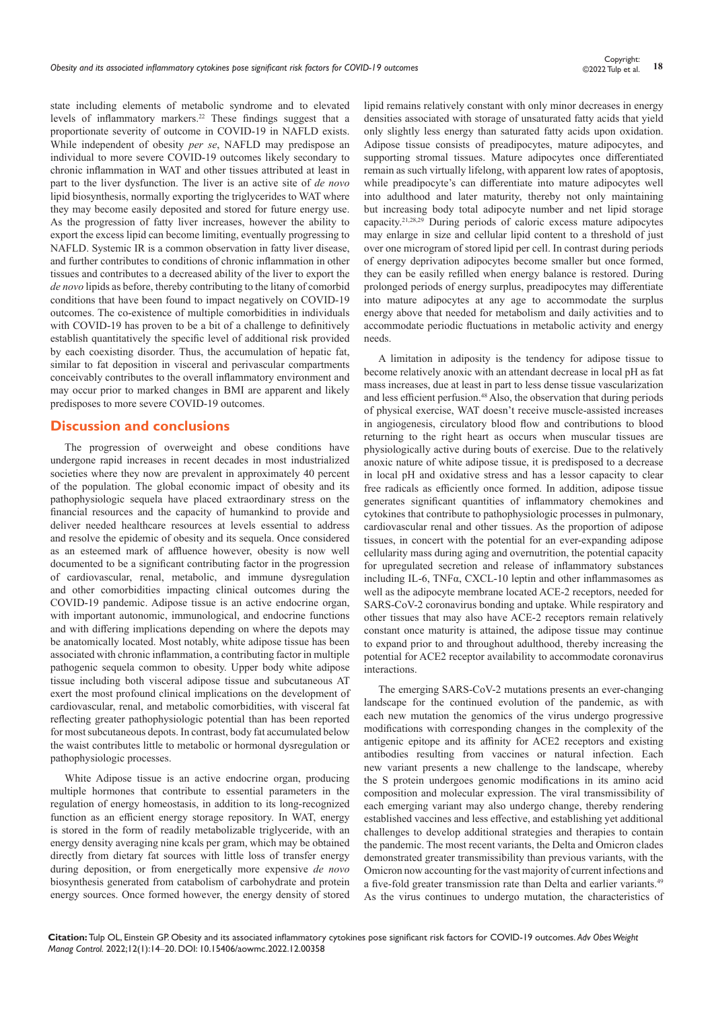state including elements of metabolic syndrome and to elevated levels of inflammatory markers.<sup>22</sup> These findings suggest that a proportionate severity of outcome in COVID-19 in NAFLD exists. While independent of obesity *per se*, NAFLD may predispose an individual to more severe COVID-19 outcomes likely secondary to chronic inflammation in WAT and other tissues attributed at least in part to the liver dysfunction. The liver is an active site of *de novo* lipid biosynthesis, normally exporting the triglycerides to WAT where they may become easily deposited and stored for future energy use. As the progression of fatty liver increases, however the ability to export the excess lipid can become limiting, eventually progressing to NAFLD. Systemic IR is a common observation in fatty liver disease, and further contributes to conditions of chronic inflammation in other tissues and contributes to a decreased ability of the liver to export the *de novo* lipids as before, thereby contributing to the litany of comorbid conditions that have been found to impact negatively on COVID-19 outcomes. The co-existence of multiple comorbidities in individuals with COVID-19 has proven to be a bit of a challenge to definitively establish quantitatively the specific level of additional risk provided by each coexisting disorder. Thus, the accumulation of hepatic fat, similar to fat deposition in visceral and perivascular compartments conceivably contributes to the overall inflammatory environment and may occur prior to marked changes in BMI are apparent and likely predisposes to more severe COVID-19 outcomes.

#### **Discussion and conclusions**

The progression of overweight and obese conditions have undergone rapid increases in recent decades in most industrialized societies where they now are prevalent in approximately 40 percent of the population. The global economic impact of obesity and its pathophysiologic sequela have placed extraordinary stress on the financial resources and the capacity of humankind to provide and deliver needed healthcare resources at levels essential to address and resolve the epidemic of obesity and its sequela. Once considered as an esteemed mark of affluence however, obesity is now well documented to be a significant contributing factor in the progression of cardiovascular, renal, metabolic, and immune dysregulation and other comorbidities impacting clinical outcomes during the COVID-19 pandemic. Adipose tissue is an active endocrine organ, with important autonomic, immunological, and endocrine functions and with differing implications depending on where the depots may be anatomically located. Most notably, white adipose tissue has been associated with chronic inflammation, a contributing factor in multiple pathogenic sequela common to obesity. Upper body white adipose tissue including both visceral adipose tissue and subcutaneous AT exert the most profound clinical implications on the development of cardiovascular, renal, and metabolic comorbidities, with visceral fat reflecting greater pathophysiologic potential than has been reported for most subcutaneous depots. In contrast, body fat accumulated below the waist contributes little to metabolic or hormonal dysregulation or pathophysiologic processes.

White Adipose tissue is an active endocrine organ, producing multiple hormones that contribute to essential parameters in the regulation of energy homeostasis, in addition to its long-recognized function as an efficient energy storage repository. In WAT, energy is stored in the form of readily metabolizable triglyceride, with an energy density averaging nine kcals per gram, which may be obtained directly from dietary fat sources with little loss of transfer energy during deposition, or from energetically more expensive *de novo* biosynthesis generated from catabolism of carbohydrate and protein energy sources. Once formed however, the energy density of stored

lipid remains relatively constant with only minor decreases in energy densities associated with storage of unsaturated fatty acids that yield only slightly less energy than saturated fatty acids upon oxidation. Adipose tissue consists of preadipocytes, mature adipocytes, and supporting stromal tissues. Mature adipocytes once differentiated remain as such virtually lifelong, with apparent low rates of apoptosis, while preadipocyte's can differentiate into mature adipocytes well into adulthood and later maturity, thereby not only maintaining but increasing body total adipocyte number and net lipid storage capacity.21,28,29 During periods of caloric excess mature adipocytes may enlarge in size and cellular lipid content to a threshold of just over one microgram of stored lipid per cell. In contrast during periods of energy deprivation adipocytes become smaller but once formed, they can be easily refilled when energy balance is restored. During prolonged periods of energy surplus, preadipocytes may differentiate into mature adipocytes at any age to accommodate the surplus energy above that needed for metabolism and daily activities and to accommodate periodic fluctuations in metabolic activity and energy needs.

A limitation in adiposity is the tendency for adipose tissue to become relatively anoxic with an attendant decrease in local pH as fat mass increases, due at least in part to less dense tissue vascularization and less efficient perfusion.<sup>48</sup> Also, the observation that during periods of physical exercise, WAT doesn't receive muscle-assisted increases in angiogenesis, circulatory blood flow and contributions to blood returning to the right heart as occurs when muscular tissues are physiologically active during bouts of exercise. Due to the relatively anoxic nature of white adipose tissue, it is predisposed to a decrease in local pH and oxidative stress and has a lessor capacity to clear free radicals as efficiently once formed. In addition, adipose tissue generates significant quantities of inflammatory chemokines and cytokines that contribute to pathophysiologic processes in pulmonary, cardiovascular renal and other tissues. As the proportion of adipose tissues, in concert with the potential for an ever-expanding adipose cellularity mass during aging and overnutrition, the potential capacity for upregulated secretion and release of inflammatory substances including IL-6, TNFα, CXCL-10 leptin and other inflammasomes as well as the adipocyte membrane located ACE-2 receptors, needed for SARS-CoV-2 coronavirus bonding and uptake. While respiratory and other tissues that may also have ACE-2 receptors remain relatively constant once maturity is attained, the adipose tissue may continue to expand prior to and throughout adulthood, thereby increasing the potential for ACE2 receptor availability to accommodate coronavirus interactions.

The emerging SARS-CoV-2 mutations presents an ever-changing landscape for the continued evolution of the pandemic, as with each new mutation the genomics of the virus undergo progressive modifications with corresponding changes in the complexity of the antigenic epitope and its affinity for ACE2 receptors and existing antibodies resulting from vaccines or natural infection. Each new variant presents a new challenge to the landscape, whereby the S protein undergoes genomic modifications in its amino acid composition and molecular expression. The viral transmissibility of each emerging variant may also undergo change, thereby rendering established vaccines and less effective, and establishing yet additional challenges to develop additional strategies and therapies to contain the pandemic. The most recent variants, the Delta and Omicron clades demonstrated greater transmissibility than previous variants, with the Omicron now accounting for the vast majority of current infections and a five-fold greater transmission rate than Delta and earlier variants.<sup>49</sup> As the virus continues to undergo mutation, the characteristics of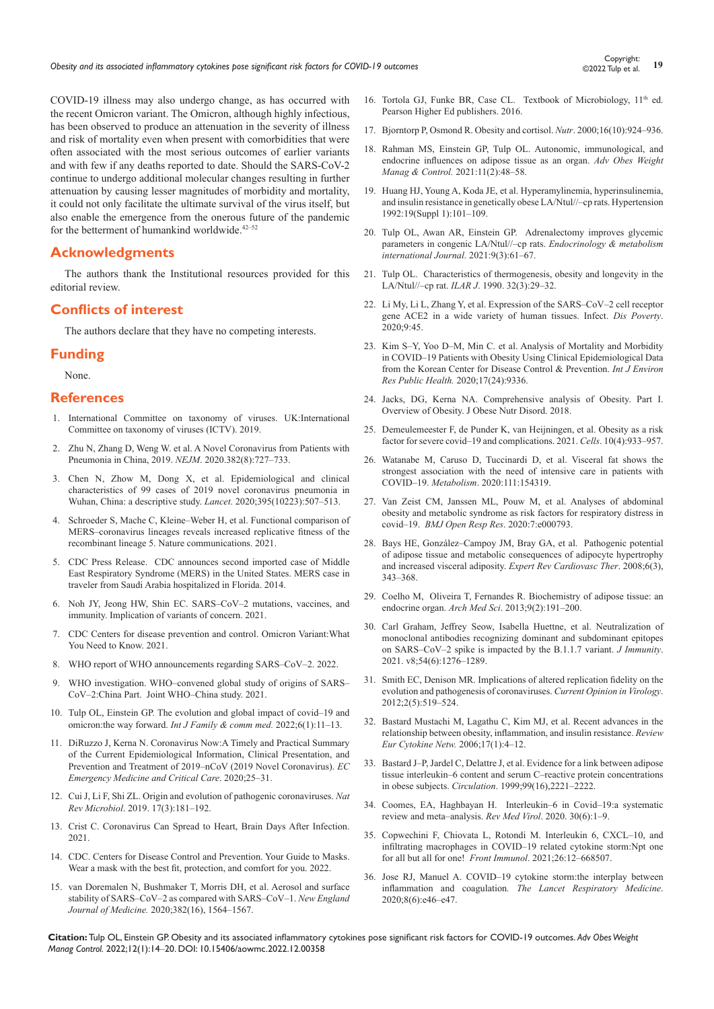*Obesity and its associated inflammatory cytokines pose significant risk factors for COVID-19 outcomes* **<sup>19</sup>** Copyright:

COVID-19 illness may also undergo change, as has occurred with the recent Omicron variant. The Omicron, although highly infectious, has been observed to produce an attenuation in the severity of illness and risk of mortality even when present with comorbidities that were often associated with the most serious outcomes of earlier variants and with few if any deaths reported to date. Should the SARS-CoV-2 continue to undergo additional molecular changes resulting in further attenuation by causing lesser magnitudes of morbidity and mortality, it could not only facilitate the ultimate survival of the virus itself, but also enable the emergence from the onerous future of the pandemic for the betterment of humankind worldwide.<sup>42-52</sup>

# **Acknowledgments**

The authors thank the Institutional resources provided for this editorial review.

# **Conflicts of interest**

The authors declare that they have no competing interests.

## **Funding**

None.

#### **References**

- 1. International Committee on taxonomy of viruses. UK:International Committee on taxonomy of viruses (ICTV). 2019.
- 2. [Zhu N, Zhang D, Weng W. et al. A Novel Coronavirus from Patients with](https://pubmed.ncbi.nlm.nih.gov/31978945/)  [Pneumonia in China, 2019.](https://pubmed.ncbi.nlm.nih.gov/31978945/) *NEJM*. 2020.382(8):727–733.
- 3. [Chen N, Zhow M, Dong X, et al. Epidemiological and clinical](https://pubmed.ncbi.nlm.nih.gov/32007143/)  [characteristics of 99 cases of 2019 novel coronavirus pneumonia in](https://pubmed.ncbi.nlm.nih.gov/32007143/)  [Wuhan, China: a descriptive study.](https://pubmed.ncbi.nlm.nih.gov/32007143/) *Lancet*. 2020;395(10223):507–513.
- 4. [Schroeder S, Mache C, Kleine–Weber H, et al. Functional comparison of](https://www.nature.com/articles/s41467-021-25519-1)  [MERS–coronavirus lineages reveals increased replicative fitness of the](https://www.nature.com/articles/s41467-021-25519-1)  [recombinant lineage 5. Nature communications. 2021.](https://www.nature.com/articles/s41467-021-25519-1)
- 5. [CDC Press Release. CDC announces second imported case of Middle](https://www.cdc.gov/media/releases/2014/p0512-us-mers.html)  [East Respiratory Syndrome \(MERS\) in the United States. MERS case in](https://www.cdc.gov/media/releases/2014/p0512-us-mers.html)  [traveler from Saudi Arabia hospitalized in Florida.](https://www.cdc.gov/media/releases/2014/p0512-us-mers.html) 2014.
- 6. [Noh JY, Jeong HW, Shin EC. SARS–CoV–2 mutations, vaccines, and](https://pubmed.ncbi.nlm.nih.gov/34023862/)  [immunity. Implication of variants of concern. 2021.](https://pubmed.ncbi.nlm.nih.gov/34023862/)
- 7. [CDC Centers for disease prevention and control. Omicron Variant:What](https://www.cdc.gov/coronavirus/2019-ncov/variants/omicron-variant.html)  [You Need to Know. 2021.](https://www.cdc.gov/coronavirus/2019-ncov/variants/omicron-variant.html)
- 8. WHO report of WHO announcements regarding SARS–CoV–2. 2022.
- 9. [WHO investigation. WHO–convened global study of origins of SARS–](https://www.who.int/publications/i/item/who-convened-global-study-of-origins-of-sars-cov-2-china-part) [CoV–2:China Part. Joint WHO–China study. 2021.](https://www.who.int/publications/i/item/who-convened-global-study-of-origins-of-sars-cov-2-china-part)
- 10. [Tulp OL, Einstein GP. The evolution and global impact of covid–19 and](https://medcraveonline.com/IJFCM/IJFCM-06-00255.pdf)  omicron:the way forward. *[Int J Family & comm med.](https://medcraveonline.com/IJFCM/IJFCM-06-00255.pdf)* 2022;6(1):11–13.
- 11. DiRuzzo J, Kerna N. Coronavirus Now:A Timely and Practical Summary of the Current Epidemiological Information, Clinical Presentation, and Prevention and Treatment of 2019–nCoV (2019 Novel Coronavirus). *EC Emergency Medicine and Critical Care*. 2020;25–31.
- 12. [Cui J, Li F, Shi ZL. Origin and evolution of pathogenic coronaviruses.](https://pubmed.ncbi.nlm.nih.gov/30531947/) *Nat Rev Microbiol*[. 2019. 17\(3\):181–192.](https://pubmed.ncbi.nlm.nih.gov/30531947/)
- 13. [Crist C. Coronavirus Can Spread to Heart, Brain Days After Infection.](https://www.webmd.com/lung/news/20211228/coronavirus-can-spread-heart-brain)  [2021.](https://www.webmd.com/lung/news/20211228/coronavirus-can-spread-heart-brain)
- 14. [CDC. Centers for Disease Control and Prevention. Your Guide to Masks.](https://www.cdc.gov/coronavirus/2019-ncov/prevent-getting-sick/about-face-coverings.html)  [Wear a mask with the best fit, protection, and comfort for you. 2022.](https://www.cdc.gov/coronavirus/2019-ncov/prevent-getting-sick/about-face-coverings.html)
- 15. [van Doremalen N, Bushmaker T, Morris DH, et al. Aerosol and surface](https://www.cdc.gov/coronavirus/2019-ncov/prevent-getting-sick/about-face-coverings.html)  [stability of SARS–CoV–2 as compared with SARS–CoV–1.](https://www.cdc.gov/coronavirus/2019-ncov/prevent-getting-sick/about-face-coverings.html) *New England Journal of Medicine.* [2020;382\(16\), 1564–1567.](https://www.cdc.gov/coronavirus/2019-ncov/prevent-getting-sick/about-face-coverings.html)
- 16. Tortola GJ, Funke BR, Case CL. Textbook of Microbiology,  $11<sup>th</sup>$  ed. Pearson Higher Ed publishers. 2016.
- 17. [Bjorntorp P, Osmond R. Obesity and cortisol.](https://pubmed.ncbi.nlm.nih.gov/11054598/) *Nutr*. 2000;16(10):924–936.
- 18. [Rahman MS, Einstein GP, Tulp OL. Autonomic, immunological, and](https://medcraveonline.com/AOWMC/AOWMC-11-00335.pdf)  [endocrine influences on adipose tissue as an organ.](https://medcraveonline.com/AOWMC/AOWMC-11-00335.pdf) *Adv Obes Weight Manag & Control.* [2021:11\(2\):48–58.](https://medcraveonline.com/AOWMC/AOWMC-11-00335.pdf)
- 19. [Huang HJ, Young A, Koda JE, et al. Hyperamylinemia, hyperinsulinemia,](https://pubmed.ncbi.nlm.nih.gov/1730446/)  [and insulin resistance in genetically obese LA/Ntul//–cp rats. Hypertension](https://pubmed.ncbi.nlm.nih.gov/1730446/)  [1992:19\(Suppl 1\):101–109.](https://pubmed.ncbi.nlm.nih.gov/1730446/)
- 20. [Tulp OL, Awan AR, Einstein GP. Adrenalectomy improves glycemic](https://medcraveonline.com/EMIJ/adrenalectomy-improves-glycemic-responses-in-congenic-obese-lantul-cp-rats.html)  [parameters in congenic LA/Ntul//–cp rats.](https://medcraveonline.com/EMIJ/adrenalectomy-improves-glycemic-responses-in-congenic-obese-lantul-cp-rats.html) *Endocrinology & metabolism [international Journal.](https://medcraveonline.com/EMIJ/adrenalectomy-improves-glycemic-responses-in-congenic-obese-lantul-cp-rats.html)* 2021:9(3):61–67.
- 21. [Tulp OL. Characteristics of thermogenesis, obesity and longevity in the](https://academic.oup.com/ilarjournal/article/32/3/32/682480?login=false)  LA/Ntul//–cp rat. *ILAR J*[. 1990. 32\(3\):29–32.](https://academic.oup.com/ilarjournal/article/32/3/32/682480?login=false)
- 22. [Li My, Li L, Zhang Y, et al. Expression of the SARS–CoV–2 cell receptor](https://medcentral.net/)  [gene ACE2 in a wide variety of human tissues. Infect.](https://medcentral.net/) *Dis Poverty*. [2020;9:45.](https://medcentral.net/)
- 23. [Kim S–Y, Yoo D–M, Min C. et al. Analysis of Mortality and Morbidity](https://pubmed.ncbi.nlm.nih.gov/33327389/)  [in COVID–19 Patients with Obesity Using Clinical Epidemiological Data](https://pubmed.ncbi.nlm.nih.gov/33327389/)  [from the Korean Center for Disease Control & Prevention.](https://pubmed.ncbi.nlm.nih.gov/33327389/) *Int J Environ [Res Public Health.](https://pubmed.ncbi.nlm.nih.gov/33327389/)* 2020;17(24):9336.
- 24. [Jacks, DG, Kerna NA. Comprehensive analysis of Obesity. Part I.](https://www.gavinpublishers.com/articles/Review-Article/Journal-of-Obesity-and-Nutritional-Disorders-ISSN2577-2244/A-Comprehensive-Analysis-of-Obesity-Part-1-Overview-of-Obesity)  [Overview of Obesity. J Obese Nutr Disord. 2018.](https://www.gavinpublishers.com/articles/Review-Article/Journal-of-Obesity-and-Nutritional-Disorders-ISSN2577-2244/A-Comprehensive-Analysis-of-Obesity-Part-1-Overview-of-Obesity)
- 25. [Demeulemeester F, de Punder K, van Heijningen, et al. Obesity as a risk](https://pubmed.ncbi.nlm.nih.gov/33920604/)  [factor for severe covid–19 and complications. 2021.](https://pubmed.ncbi.nlm.nih.gov/33920604/) *Cells*. 10(4):933–957.
- 26. [Watanabe M, Caruso D, Tuccinardi D, et al. Visceral fat shows the](https://pubmed.ncbi.nlm.nih.gov/32712222/)  [strongest association with the need of intensive care in patients with](https://pubmed.ncbi.nlm.nih.gov/32712222/)  COVID–19. *Metabolism*[. 2020:111:154319.](https://pubmed.ncbi.nlm.nih.gov/32712222/)
- 27. [Van Zeist CM, Janssen ML, Pouw M, et al. Analyses of abdominal](https://pubmed.ncbi.nlm.nih.gov/33328246/)  [obesity and metabolic syndrome as risk factors for respiratory distress in](https://pubmed.ncbi.nlm.nih.gov/33328246/)  covid–19. *[BMJ Open Resp Res](https://pubmed.ncbi.nlm.nih.gov/33328246/)*. 2020:7:e000793.
- 28. [Bays HE, González–Campoy JM, Bray GA, et al. Pathogenic potential](https://pubmed.ncbi.nlm.nih.gov/18327995/)  [of adipose tissue and metabolic consequences of adipocyte hypertrophy](https://pubmed.ncbi.nlm.nih.gov/18327995/)  [and increased visceral adiposity.](https://pubmed.ncbi.nlm.nih.gov/18327995/) *Expert Rev Cardiovasc Ther*. 2008;6(3), [343–368.](https://pubmed.ncbi.nlm.nih.gov/18327995/)
- 29. [Coelho M, Oliveira T, Fernandes R. Biochemistry of adipose tissue: an](https://pubmed.ncbi.nlm.nih.gov/23671428/)  endocrine organ. *Arch Med Sci*[. 2013;9\(2\):191–200.](https://pubmed.ncbi.nlm.nih.gov/23671428/)
- 30. [Carl Graham, Jeffrey Seow, Isabella Huettne, et al. Neutralization of](https://pubmed.ncbi.nlm.nih.gov/33836142/)  [monoclonal antibodies recognizing dominant and subdominant epitopes](https://pubmed.ncbi.nlm.nih.gov/33836142/)  [on SARS–CoV–2 spike is impacted by the B.1.1.7 variant.](https://pubmed.ncbi.nlm.nih.gov/33836142/) *J Immunity*. [2021. v8;54\(6\):1276–1289.](https://pubmed.ncbi.nlm.nih.gov/33836142/)
- 31. [Smith EC, Denison MR. Implications of altered replication fidelity on the](https://www.sciencedirect.com/science/article/pii/S1879625712001101) [evolution and pathogenesis of coronaviruses.](https://www.sciencedirect.com/science/article/pii/S1879625712001101) *Current Opinion in Virology*. [2012;2\(5\):519–524.](https://www.sciencedirect.com/science/article/pii/S1879625712001101)
- 32. Bastard Mustachi M, Lagathu [C, Kim MJ, et al. Recent advances in the](https://pubmed.ncbi.nlm.nih.gov/16613757/)  [relationship between obesity, inflammation, and insulin resistance.](https://pubmed.ncbi.nlm.nih.gov/16613757/) *Review [Eur Cytokine Netw.](https://pubmed.ncbi.nlm.nih.gov/16613757/)* 2006;17(1):4–12.
- 33. [Bastard J–P, Jardel C, Delattre J, et al. Evidence for a link between adipose](https://pubmed.ncbi.nlm.nih.gov/10217702/)  [tissue interleukin–6 content and serum C–reactive protein concentrations](https://pubmed.ncbi.nlm.nih.gov/10217702/)  in obese subjects. *Circulation*[. 1999;99\(16\),2221–2222.](https://pubmed.ncbi.nlm.nih.gov/10217702/)
- 34. [Coomes, EA, Haghbayan H. Interleukin–6 in Covid–19:a systematic](https://pubmed.ncbi.nlm.nih.gov/32845568/)  [review and meta–analysis.](https://pubmed.ncbi.nlm.nih.gov/32845568/) *Rev Med Virol*. 2020. 30(6):1–9.
- 35. [Copwechini F, Chiovata L, Rotondi M. Interleukin 6, CXCL–10, and](https://pubmed.ncbi.nlm.nih.gov/32845568/)  [infiltrating macrophages in COVID–19 related cytokine storm:Npt one](https://pubmed.ncbi.nlm.nih.gov/32845568/)  [for all but all for one!](https://pubmed.ncbi.nlm.nih.gov/32845568/) *Front Immunol*. 2021;26:12–668507.
- 36. [Jose RJ, Manuel A. COVID–19 cytokine storm:the interplay between](https://pubmed.ncbi.nlm.nih.gov/32353251/)  inflammation and coagulation*[. The Lancet Respiratory Medicine](https://pubmed.ncbi.nlm.nih.gov/32353251/)*. [2020;8\(6\):e46–e47.](https://pubmed.ncbi.nlm.nih.gov/32353251/)

**Citation:** Tulp OL, Einstein GP. Obesity and its associated inflammatory cytokines pose significant risk factors for COVID-19 outcomes. *Adv Obes Weight Manag Control.* 2022;12(1):14‒20. DOI: [10.15406/aowmc.2022.12.00358](https://doi.org/10.15406/aowmc.2022.12.00358)